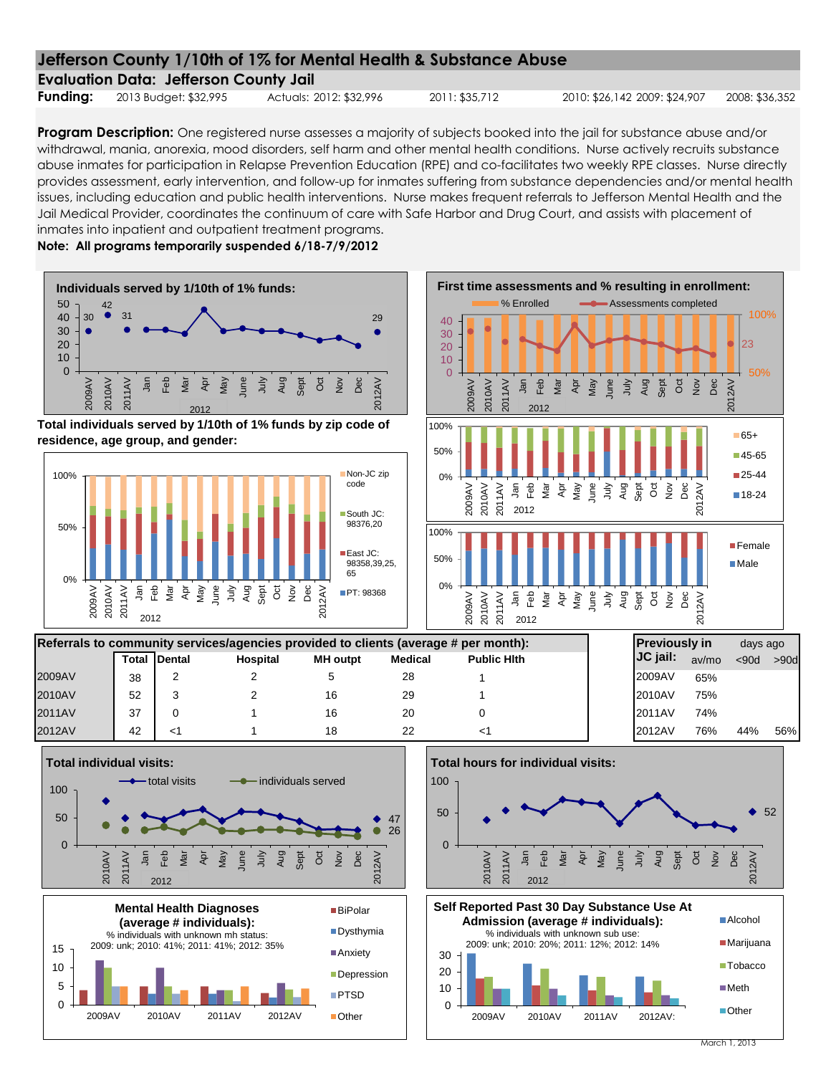| <b>Evaluation Data: Jefferson County Jail</b> |  |  |
|-----------------------------------------------|--|--|
|                                               |  |  |

**Funding:** 2013 Budget: \$32,995 Actuals: 2012: \$32,996 2011: \$35,712 2010: \$26,142 2009: \$24,907 2008: \$36,352

**Program Description:** One registered nurse assesses a majority of subjects booked into the jail for substance abuse and/or withdrawal, mania, anorexia, mood disorders, self harm and other mental health conditions. Nurse actively recruits substance abuse inmates for participation in Relapse Prevention Education (RPE) and co-facilitates two weekly RPE classes. Nurse directly provides assessment, early intervention, and follow-up for inmates suffering from substance dependencies and/or mental health issues, including education and public health interventions. Nurse makes frequent referrals to Jefferson Mental Health and the Jail Medical Provider, coordinates the continuum of care with Safe Harbor and Drug Court, and assists with placement of inmates into inpatient and outpatient treatment programs.

**Note: All programs temporarily suspended 6/18-7/9/2012**

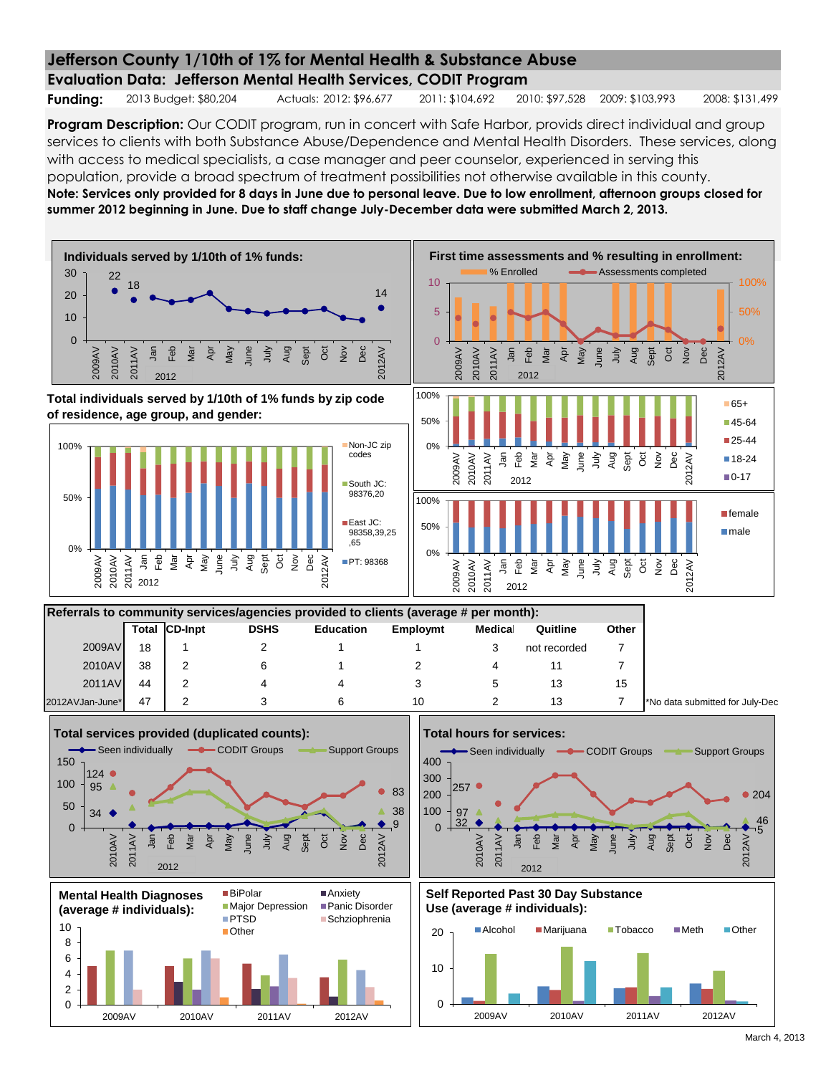**Evaluation Data: Jefferson Mental Health Services, CODIT Program**

**Funding:** 2013 Budget: \$80,204 Actuals: 2012: \$96,677 2011: \$104,692 2010: \$97,528 2009: \$103,993 2008: \$131,499

**Program Description:** Our CODIT program, run in concert with Safe Harbor, provids direct individual and group services to clients with both Substance Abuse/Dependence and Mental Health Disorders. These services, along with access to medical specialists, a case manager and peer counselor, experienced in serving this population, provide a broad spectrum of treatment possibilities not otherwise available in this county. **Note: Services only provided for 8 days in June due to personal leave. Due to low enrollment, afternoon groups closed for summer 2012 beginning in June. Due to staff change July-December data were submitted March 2, 2013.**

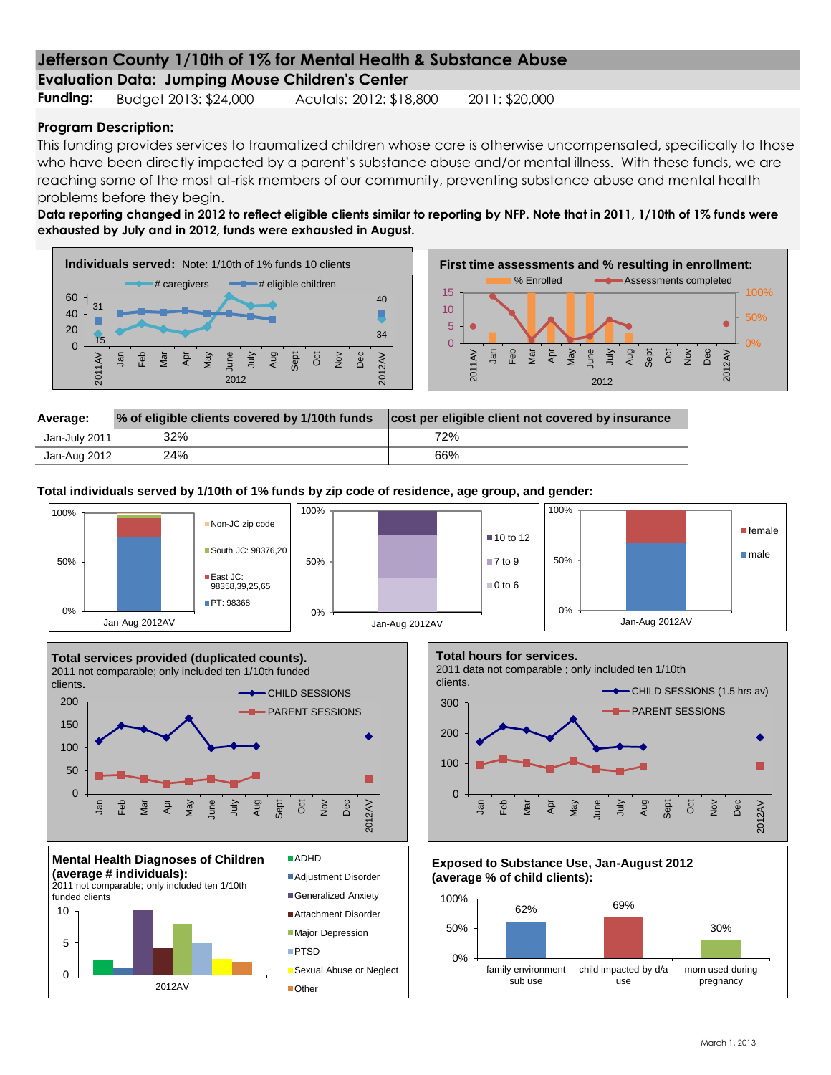**Evaluation Data: Jumping Mouse Children's Center**

**Funding:** Budget 2013: \$24,000 Acutals: 2012: \$18,800 2011: \$20,000

### **Program Description:**

This funding provides services to traumatized children whose care is otherwise uncompensated, specifically to those who have been directly impacted by a parent's substance abuse and/or mental illness. With these funds, we are reaching some of the most at-risk members of our community, preventing substance abuse and mental health problems before they begin.

**Data reporting changed in 2012 to reflect eligible clients similar to reporting by NFP. Note that in 2011, 1/10th of 1% funds were exhausted by July and in 2012, funds were exhausted in August.**





| Average:      | % of eligible clients covered by 1/10th funds | cost per eligible client not covered by insurance |
|---------------|-----------------------------------------------|---------------------------------------------------|
| Jan-July 2011 | 32%                                           | 72%                                               |
| Jan-Aug 2012  | 24%                                           | 66%                                               |

**Total individuals served by 1/10th of 1% funds by zip code of residence, age group, and gender:**

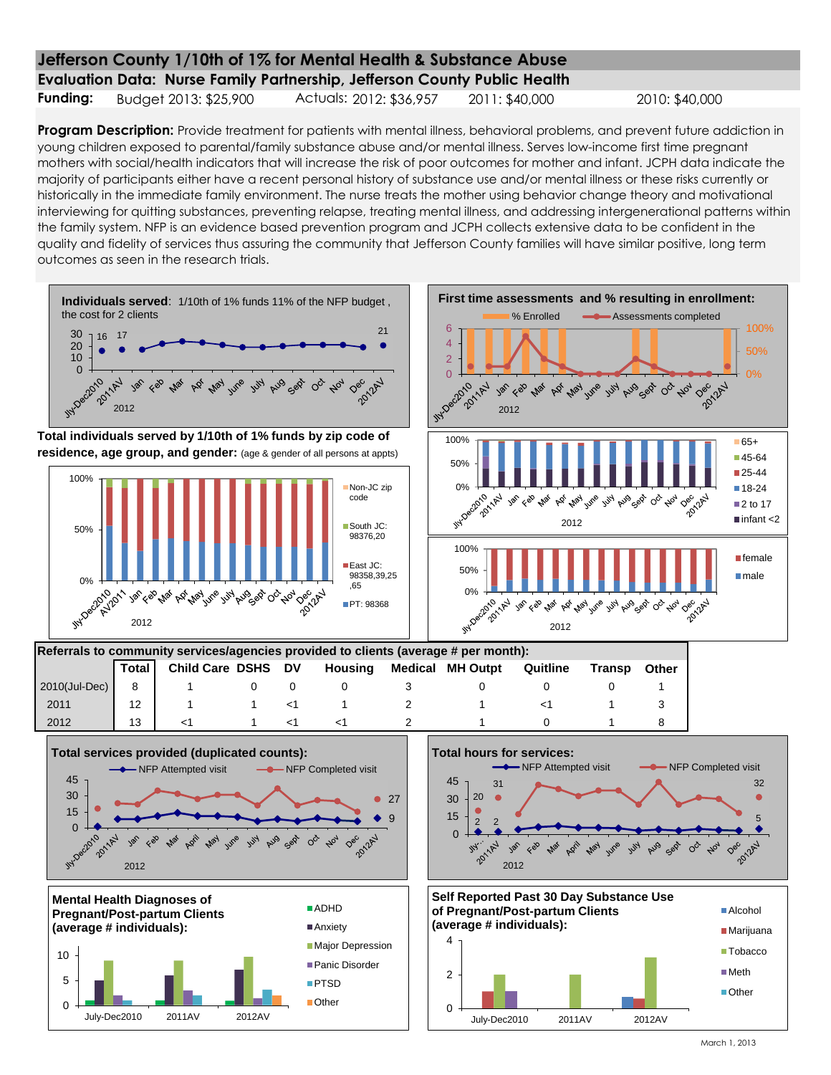**Evaluation Data: Nurse Family Partnership, Jefferson County Public Health**

**Funding:** Budget 2013: \$25,900 Actuals: 2012: \$36,957 2011: \$40,000 2010: \$40,000

**Program Description:** Provide treatment for patients with mental illness, behavioral problems, and prevent future addiction in young children exposed to parental/family substance abuse and/or mental illness. Serves low-income first time pregnant mothers with social/health indicators that will increase the risk of poor outcomes for mother and infant. JCPH data indicate the majority of participants either have a recent personal history of substance use and/or mental illness or these risks currently or historically in the immediate family environment. The nurse treats the mother using behavior change theory and motivational interviewing for quitting substances, preventing relapse, treating mental illness, and addressing intergenerational patterns within the family system. NFP is an evidence based prevention program and JCPH collects extensive data to be confident in the quality and fidelity of services thus assuring the community that Jefferson County families will have similar positive, long term outcomes as seen in the research trials.

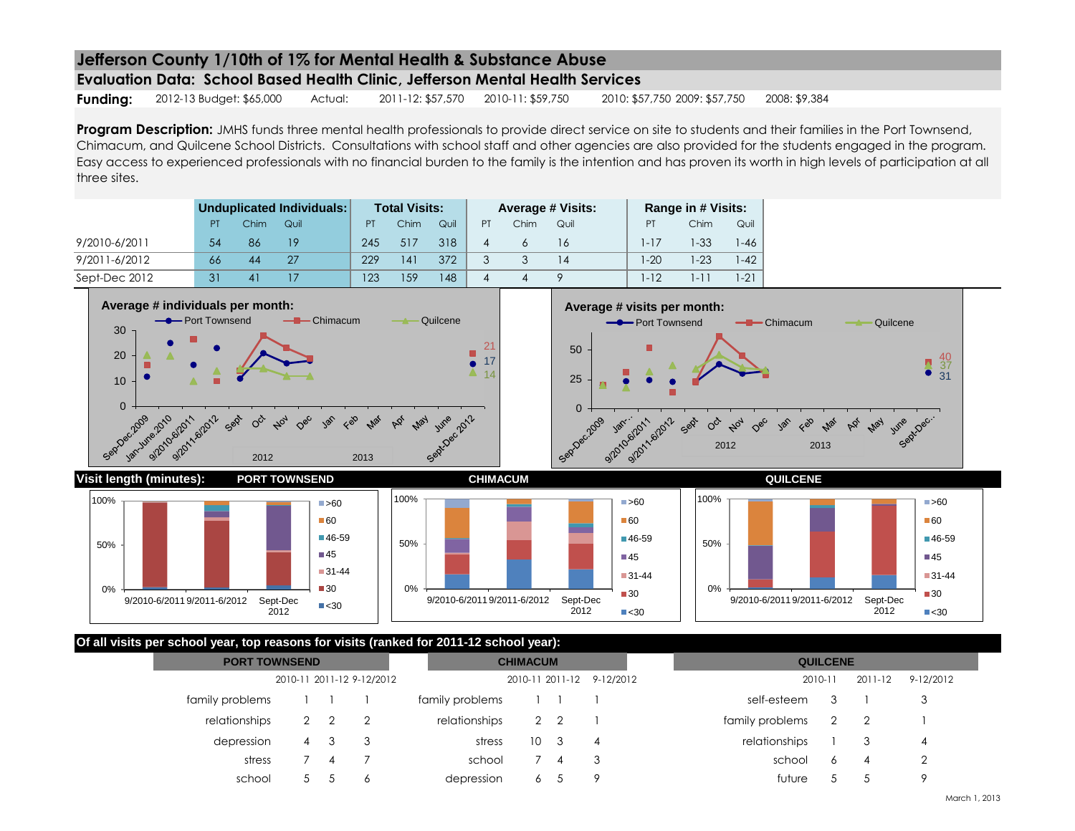**Evaluation Data: School Based Health Clinic, Jefferson Mental Health Services**

**Funding:** 2012-13 Budget: \$65,000 Actual: 2011-12: \$57,570 2010-11: \$59,750 2010: \$57,750 2009: \$57,750 2008: \$9,384

Program Description: JMHS funds three mental health professionals to provide direct service on site to students and their families in the Port Townsend, Chimacum, and Quilcene School Districts. Consultations with school staff and other agencies are also provided for the students engaged in the program. Easy access to experienced professionals with no financial burden to the family is the intention and has proven its worth in high levels of participation at all three sites.

|               |    | Unduplicated Individuals: |      | <b>Total Visits:</b> |      | <b>Average # Visits:</b> |           |      | Range in # Visits: |          |          |          |
|---------------|----|---------------------------|------|----------------------|------|--------------------------|-----------|------|--------------------|----------|----------|----------|
|               | PT | Chim                      | Quil | PT                   | Chim | Quil                     | <b>PT</b> | Chim | Quil               | PT       | Chim     | Quil     |
| 9/2010-6/2011 | 54 | 86                        | 19   | 245                  | 517  | 318                      | 4         |      | 16                 | $1 - 17$ | $-33$    | $1 - 46$ |
| 9/2011-6/2012 | 66 | 44                        | 27   | 229                  | 141  | 372                      |           |      | 14                 | $1-20$   | $-23$    | $1 - 42$ |
| Sept-Dec 2012 |    |                           |      | 123                  | 159  | 48                       | 4         |      |                    | $1 - 12$ | $1 - 11$ | $1-21$   |

0%

50%

100%







### **Of all visits per school year, top reasons for visits (ranked for 2011-12 school year):**

 $\blacktriangleright$   $60$ ■60 ■46-59  $\blacksquare$ 45 ■31-44 ■30  $\blacktriangleright$  <30

2012

0%

9/2010-6/2011 9/2011-6/2012 Sept-Dec

50%

100%

| <b>PORT TOWNSEND</b>      |              | <b>CHIMACUM</b> |   |                           |                 | <b>QUILCENE</b> |                |                 |                      |           |   |
|---------------------------|--------------|-----------------|---|---------------------------|-----------------|-----------------|----------------|-----------------|----------------------|-----------|---|
| 2010-11 2011-12 9-12/2012 |              |                 |   | 2010-11 2011-12 9-12/2012 |                 |                 |                | 2010-11         | 2011-12              | 9-12/2012 |   |
| family problems           |              |                 |   | family problems           | $\Box$          |                 |                | self-esteem     |                      |           |   |
| relationships             | $\mathbf{2}$ |                 |   | relationships             | 2 2             |                 |                | family problems | $\mathbf{2}^{\circ}$ |           |   |
| depression                | 4            | -3              |   | stress                    | 10 <sup>3</sup> |                 | $\overline{4}$ | relationships   |                      |           | 4 |
| stress                    |              |                 |   | school                    | 7               | 4               | - 3            | school          | 6                    | 4         |   |
| school                    |              |                 | Ô | depression                | 6               |                 | -9             | future          |                      |           |   |

2012

■60

**145** 

 $\blacksquare$ 30

9/2010-6/2011 9/2011-6/2012 Sept-Dec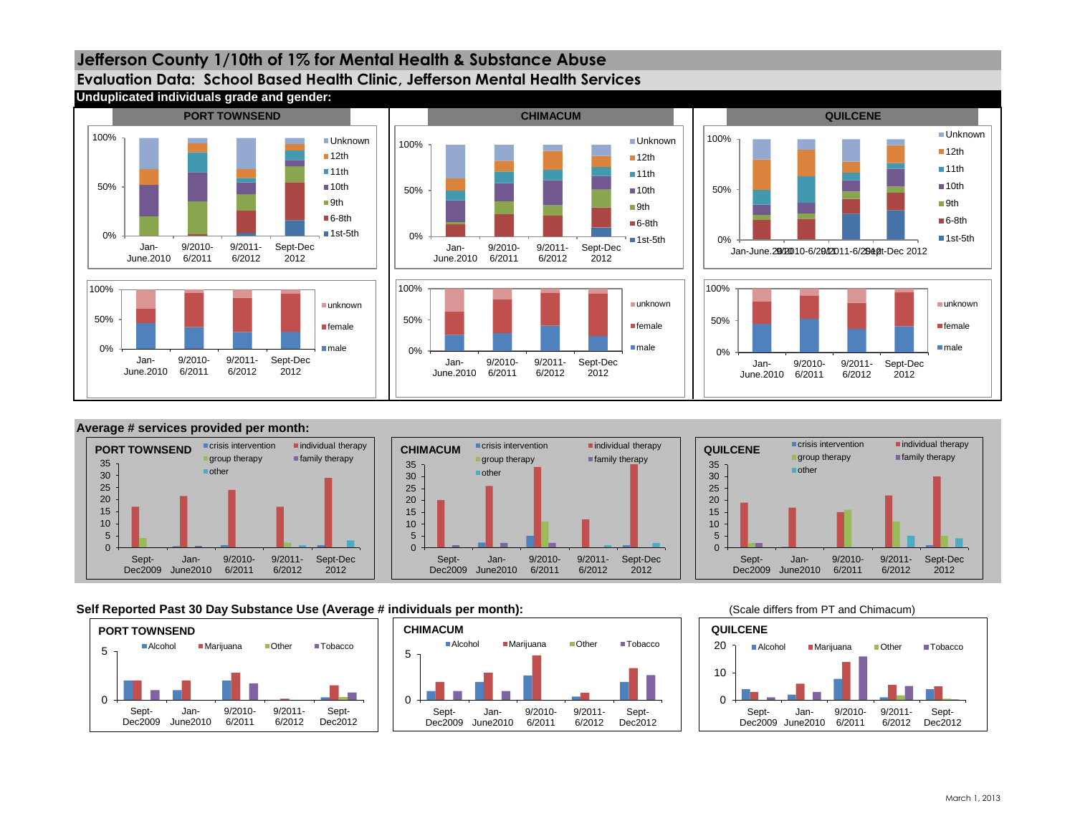







### Self Reported Past 30 Day Substance Use (Average # individuals per month): **1998 Contract Automation** (Scale differs from PT and Chimacum)

**Jefferson County 1/10th of 1% for Mental Health & Substance Abuse**







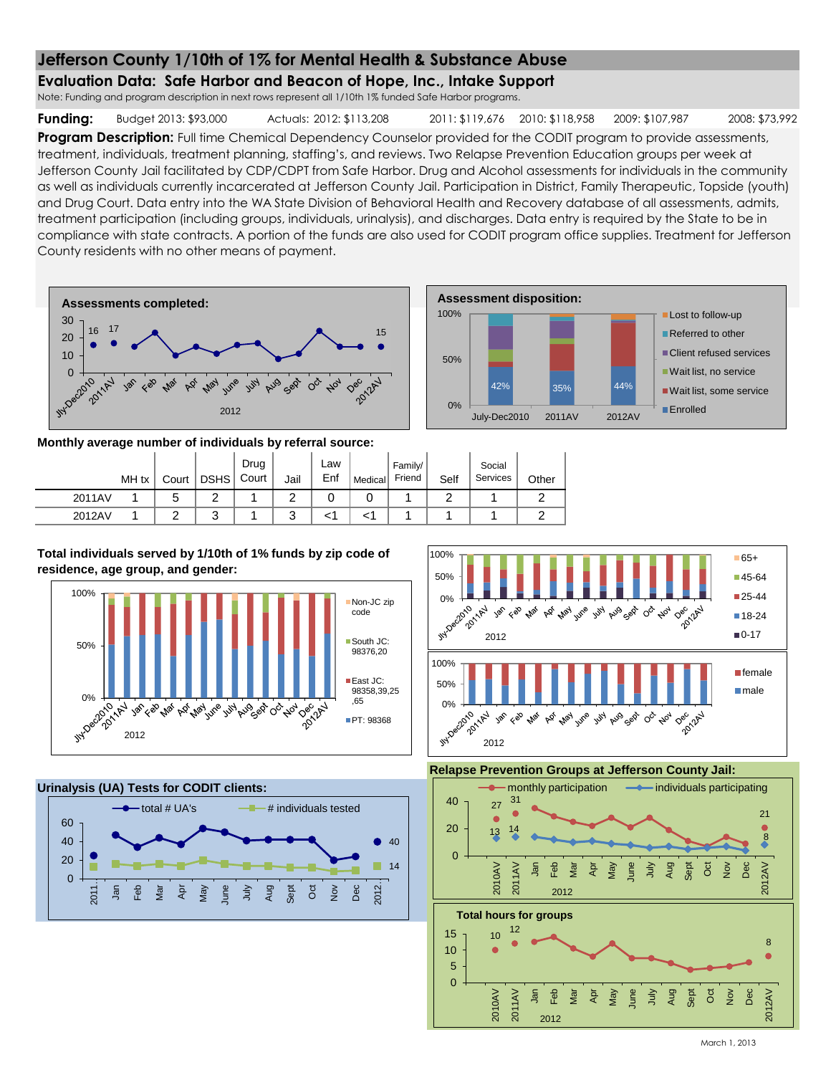### **Evaluation Data: Safe Harbor and Beacon of Hope, Inc., Intake Support**

Note: Funding and program description in next rows represent all 1/10th 1% funded Safe Harbor programs.

**Funding:** Budget 2013: \$93,000 Actuals: 2012: \$113,208 2011: \$119,676 2010: \$118,958 2009: \$107,987 2008: \$73,992

**Assessment disposition:**

**Lost to follow-up** Referred to other Client refused services Wait list, no service Wait list, some service

**Enrolled** 

**Program Description:** Full time Chemical Dependency Counselor provided for the CODIT program to provide assessments, treatment, individuals, treatment planning, staffing's, and reviews. Two Relapse Prevention Education groups per week at Jefferson County Jail facilitated by CDP/CDPT from Safe Harbor. Drug and Alcohol assessments for individuals in the community as well as individuals currently incarcerated at Jefferson County Jail. Participation in District, Family Therapeutic, Topside (youth) and Drug Court. Data entry into the WA State Division of Behavioral Health and Recovery database of all assessments, admits, treatment participation (including groups, individuals, urinalysis), and discharges. Data entry is required by the State to be in compliance with state contracts. A portion of the funds are also used for CODIT program office supplies. Treatment for Jefferson County residents with no other means of payment.

0%

50%

100%



**Monthly average number of individuals by referral source:**

|        | MH tx | Court | <b>DSHS</b> | Drug<br>Court | Jail   | ∟aw<br>Enf | Medical | Family/<br>Friend | Self | Social<br>Services | Other |
|--------|-------|-------|-------------|---------------|--------|------------|---------|-------------------|------|--------------------|-------|
| 2011AV |       |       | $\sqrt{2}$  |               | ◠      | U          | U       |                   |      |                    |       |
| 2012AV |       |       | ົ<br>J      |               | ົ<br>J |            |         |                   |      |                    |       |

**Total individuals served by 1/10th of 1% funds by zip code of residence, age group, and gender:**



**Urinalysis (UA) Tests for CODIT clients:**





42% 35% 44%

July-Dec2010 2011AV 2012AV

**Relapse Prevention Groups at Jefferson County Jail:**